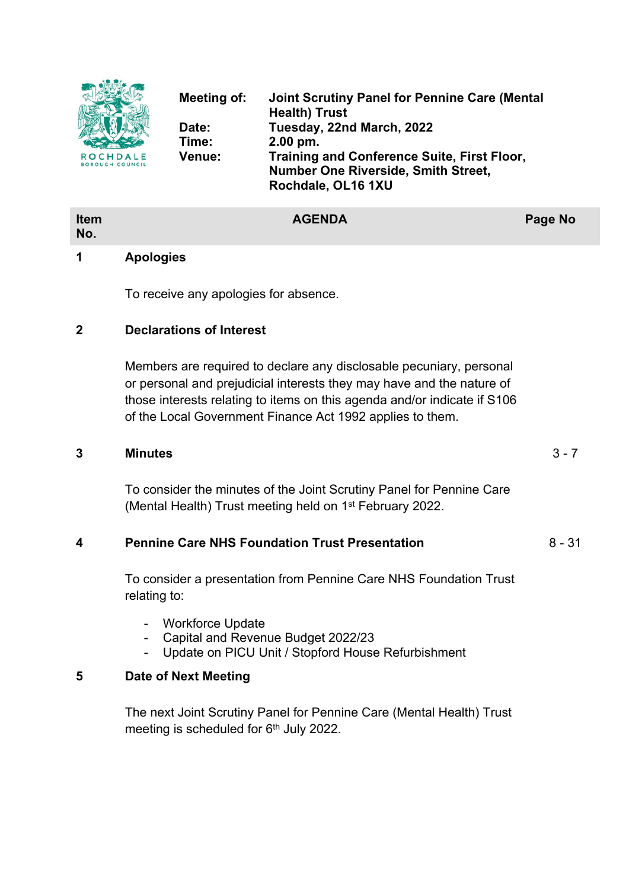

| No. | Item<br><b>AGENDA</b><br>Page No |
|-----|----------------------------------|
|-----|----------------------------------|

## **1 Apologies**

To receive any apologies for absence.

# **2 Declarations of Interest**

Members are required to declare any disclosable pecuniary, personal or personal and prejudicial interests they may have and the nature of those interests relating to items on this agenda and/or indicate if S106 of the Local Government Finance Act 1992 applies to them.

#### **3 Minutes** 3 - 7

To consider the minutes of the Joint Scrutiny Panel for Pennine Care (Mental Health) Trust meeting held on 1<sup>st</sup> February 2022.

## **4 Pennine Care NHS Foundation Trust Presentation** 8 - 31

To consider a presentation from Pennine Care NHS Foundation Trust relating to:

- Workforce Update
- Capital and Revenue Budget 2022/23
- Update on PICU Unit / Stopford House Refurbishment

## **5 Date of Next Meeting**

The next Joint Scrutiny Panel for Pennine Care (Mental Health) Trust meeting is scheduled for 6<sup>th</sup> July 2022.